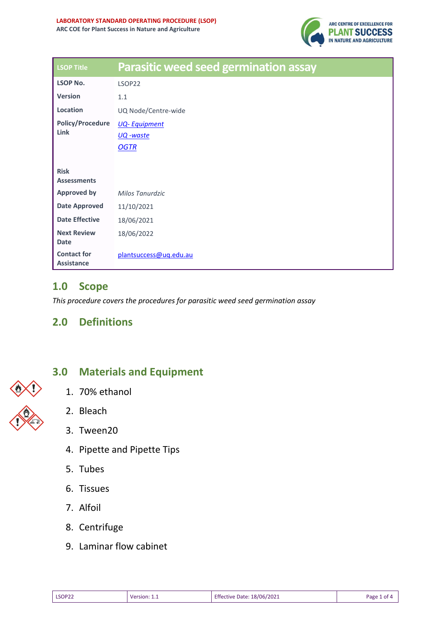

| <b>LSOP Title</b>                       | <b>Parasitic weed seed germination assay</b> |
|-----------------------------------------|----------------------------------------------|
| <b>LSOP No.</b>                         | LSOP22                                       |
| <b>Version</b>                          | 1.1                                          |
| Location                                | UQ Node/Centre-wide                          |
| <b>Policy/Procedure</b><br>Link         | <b>UQ-Equipment</b>                          |
|                                         | UQ -waste                                    |
|                                         | <b>OGTR</b>                                  |
|                                         |                                              |
| <b>Risk</b><br><b>Assessments</b>       |                                              |
| <b>Approved by</b>                      | Milos Tanurdzic                              |
| <b>Date Approved</b>                    | 11/10/2021                                   |
| <b>Date Effective</b>                   | 18/06/2021                                   |
| <b>Next Review</b><br><b>Date</b>       | 18/06/2022                                   |
| <b>Contact for</b><br><b>Assistance</b> | plantsuccess@uq.edu.au                       |

### **1.0 Scope**

*This procedure covers the procedures for parasitic weed seed germination assay*

### **2.0 Definitions**



# **3.0 Materials and Equipment**

- 1. 70% ethanol
- 2. Bleach
- 3. Tween20
- 4. Pipette and Pipette Tips
- 5. Tubes
- 6. Tissues
- 7. Alfoil
- 8. Centrifuge
- 9. Laminar flow cabinet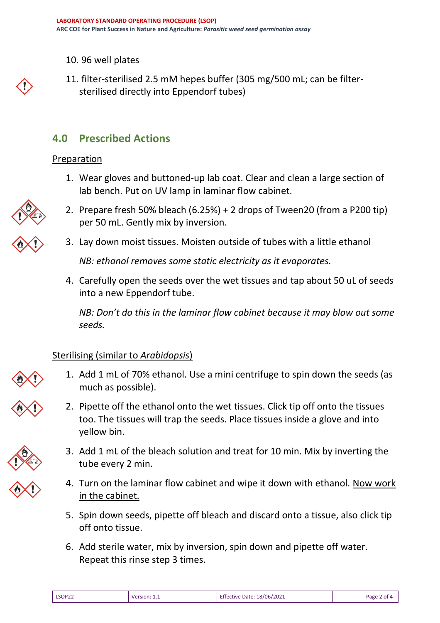10. 96 well plates

11. filter-sterilised 2.5 mM hepes buffer (305 mg/500 mL; can be filtersterilised directly into Eppendorf tubes)

## **4.0 Prescribed Actions**

#### Preparation

- 1. Wear gloves and buttoned-up lab coat. Clear and clean a large section of lab bench. Put on UV lamp in laminar flow cabinet.
- 2. Prepare fresh 50% bleach (6.25%) + 2 drops of Tween20 (from a P200 tip) per 50 mL. Gently mix by inversion.
- 3. Lay down moist tissues. Moisten outside of tubes with a little ethanol

*NB: ethanol removes some static electricity as it evaporates.*

4. Carefully open the seeds over the wet tissues and tap about 50 uL of seeds into a new Eppendorf tube.

*NB: Don't do this in the laminar flow cabinet because it may blow out some seeds.*

#### Sterilising (similar to *Arabidopsis*)

- 1. Add 1 mL of 70% ethanol. Use a mini centrifuge to spin down the seeds (as much as possible).
- 2. Pipette off the ethanol onto the wet tissues. Click tip off onto the tissues too. The tissues will trap the seeds. Place tissues inside a glove and into yellow bin.
- 3. Add 1 mL of the bleach solution and treat for 10 min. Mix by inverting the tube every 2 min.
- 4. Turn on the laminar flow cabinet and wipe it down with ethanol. Now work in the cabinet.
- 5. Spin down seeds, pipette off bleach and discard onto a tissue, also click tip off onto tissue.
- 6. Add sterile water, mix by inversion, spin down and pipette off water. Repeat this rinse step 3 times.





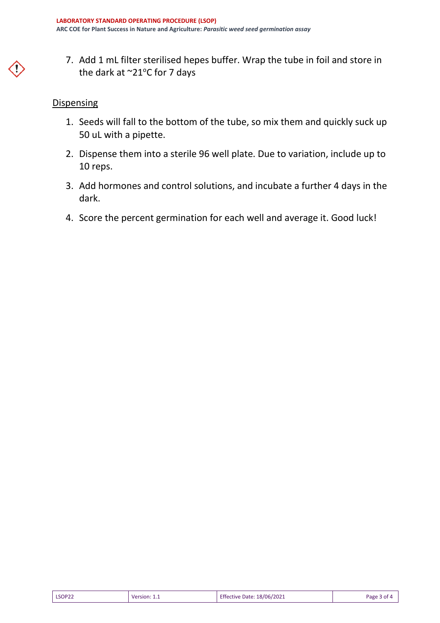7. Add 1 mL filter sterilised hepes buffer. Wrap the tube in foil and store in the dark at  $\sim$ 21°C for 7 days

#### **Dispensing**

- 1. Seeds will fall to the bottom of the tube, so mix them and quickly suck up 50 uL with a pipette.
- 2. Dispense them into a sterile 96 well plate. Due to variation, include up to 10 reps.
- 3. Add hormones and control solutions, and incubate a further 4 days in the dark.
- 4. Score the percent germination for each well and average it. Good luck!

| LSOP22 | Version: | <b>Effective Date: 18/06/2021</b> | Page 3 of 4 |
|--------|----------|-----------------------------------|-------------|
|        |          |                                   |             |